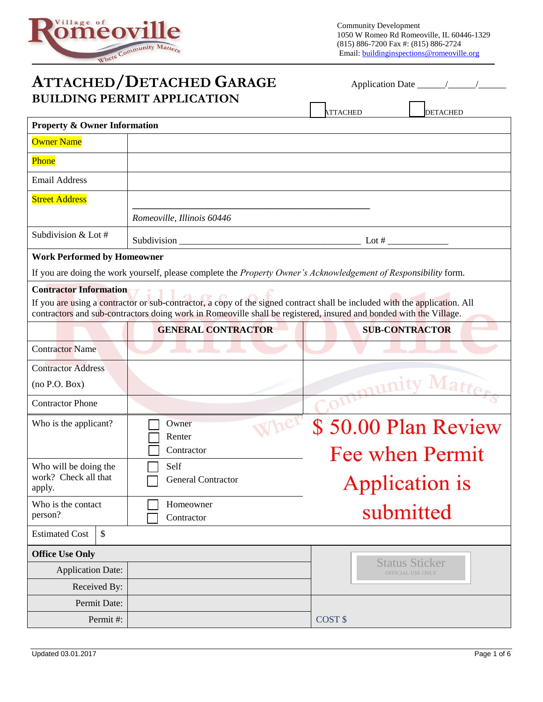

| <b>ATTACHED/DETACHED GARAGE</b><br><b>BUILDING PERMIT APPLICATION</b> |                                                                                                                                                                                                                                                  |                                            |  |  |
|-----------------------------------------------------------------------|--------------------------------------------------------------------------------------------------------------------------------------------------------------------------------------------------------------------------------------------------|--------------------------------------------|--|--|
|                                                                       |                                                                                                                                                                                                                                                  | <b>ATTACHED</b><br><b>DETACHED</b>         |  |  |
| <b>Property &amp; Owner Information</b>                               |                                                                                                                                                                                                                                                  |                                            |  |  |
| <b>Owner Name</b>                                                     |                                                                                                                                                                                                                                                  |                                            |  |  |
| Phone                                                                 |                                                                                                                                                                                                                                                  |                                            |  |  |
| <b>Email Address</b>                                                  |                                                                                                                                                                                                                                                  |                                            |  |  |
| <b>Street Address</b>                                                 |                                                                                                                                                                                                                                                  |                                            |  |  |
|                                                                       | Romeoville, Illinois 60446                                                                                                                                                                                                                       |                                            |  |  |
| Subdivision & Lot #                                                   | Subdivision _                                                                                                                                                                                                                                    | Lot # $\_$                                 |  |  |
| <b>Work Performed by Homeowner</b>                                    |                                                                                                                                                                                                                                                  |                                            |  |  |
|                                                                       | If you are doing the work yourself, please complete the Property Owner's Acknowledgement of Responsibility form.                                                                                                                                 |                                            |  |  |
| <b>Contractor Information</b>                                         | If you are using a contractor or sub-contractor, a copy of the signed contract shall be included with the application. All<br>contractors and sub-contractors doing work in Romeoville shall be registered, insured and bonded with the Village. |                                            |  |  |
|                                                                       | <b>GENERAL CONTRACTOR</b>                                                                                                                                                                                                                        | <b>SUB-CONTRACTOR</b>                      |  |  |
| <b>Contractor Name</b>                                                |                                                                                                                                                                                                                                                  |                                            |  |  |
| <b>Contractor Address</b>                                             |                                                                                                                                                                                                                                                  |                                            |  |  |
| (no P.O. Box)                                                         |                                                                                                                                                                                                                                                  |                                            |  |  |
| <b>Contractor Phone</b>                                               |                                                                                                                                                                                                                                                  |                                            |  |  |
| Who is the applicant?                                                 | Owner                                                                                                                                                                                                                                            | \$50.00 Plan Review                        |  |  |
|                                                                       | Renter<br>Contractor                                                                                                                                                                                                                             | Fee when Permit                            |  |  |
| Who will be doing the                                                 | Self                                                                                                                                                                                                                                             |                                            |  |  |
| work? Check all that<br>apply.                                        | <b>General Contractor</b>                                                                                                                                                                                                                        | <b>Application is</b>                      |  |  |
| Who is the contact<br>person?                                         | Homeowner<br>Contractor                                                                                                                                                                                                                          | submitted                                  |  |  |
| \$<br><b>Estimated Cost</b>                                           |                                                                                                                                                                                                                                                  |                                            |  |  |
| <b>Office Use Only</b>                                                |                                                                                                                                                                                                                                                  |                                            |  |  |
| <b>Application Date:</b>                                              |                                                                                                                                                                                                                                                  | <b>Status Sticker</b><br>OFFICIAL USE ONLY |  |  |
| Received By:                                                          |                                                                                                                                                                                                                                                  |                                            |  |  |
| Permit Date:                                                          |                                                                                                                                                                                                                                                  |                                            |  |  |
| Permit#:                                                              |                                                                                                                                                                                                                                                  | COST \$                                    |  |  |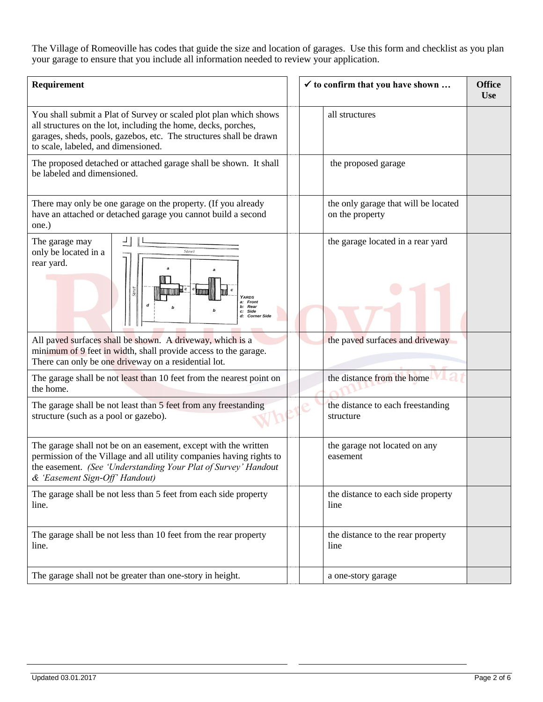The Village of Romeoville has codes that guide the size and location of garages. Use this form and checklist as you plan your garage to ensure that you include all information needed to review your application.

| Requirement                                                                                                                                                                                                                                      |  | $\checkmark$ to confirm that you have shown             | <b>Office</b><br><b>Use</b> |
|--------------------------------------------------------------------------------------------------------------------------------------------------------------------------------------------------------------------------------------------------|--|---------------------------------------------------------|-----------------------------|
| You shall submit a Plat of Survey or scaled plot plan which shows<br>all structures on the lot, including the home, decks, porches,<br>garages, sheds, pools, gazebos, etc. The structures shall be drawn<br>to scale, labeled, and dimensioned. |  | all structures                                          |                             |
| The proposed detached or attached garage shall be shown. It shall<br>be labeled and dimensioned.                                                                                                                                                 |  | the proposed garage                                     |                             |
| There may only be one garage on the property. (If you already<br>have an attached or detached garage you cannot build a second<br>one.)                                                                                                          |  | the only garage that will be located<br>on the property |                             |
| The garage may<br>only be located in a<br><b>Street</b><br>rear yard.<br>– ∝<br>Street<br><b>YARDS</b><br>a: Front<br>d<br>Rear<br>c: Side<br><b>Corner Side</b>                                                                                 |  | the garage located in a rear yard                       |                             |
| All paved surfaces shall be shown. A driveway, which is a<br>minimum of 9 feet in width, shall provide access to the garage.<br>There can only be one driveway on a residential lot.                                                             |  | the paved surfaces and driveway                         |                             |
| The garage shall be not least than 10 feet from the nearest point on<br>the home.                                                                                                                                                                |  | the distance from the home                              |                             |
| The garage shall be not least than 5 feet from any freestanding<br>structure (such as a pool or gazebo).                                                                                                                                         |  | the distance to each freestanding<br>structure          |                             |
| The garage shall not be on an easement, except with the written<br>permission of the Village and all utility companies having rights to<br>the easement. (See 'Understanding Your Plat of Survey' Handout<br>& 'Easement Sign-Off' Handout)      |  | the garage not located on any<br>easement               |                             |
| The garage shall be not less than 5 feet from each side property<br>line.                                                                                                                                                                        |  | the distance to each side property<br>line              |                             |
| The garage shall be not less than 10 feet from the rear property<br>line.                                                                                                                                                                        |  | the distance to the rear property<br>line               |                             |
| The garage shall not be greater than one-story in height.                                                                                                                                                                                        |  | a one-story garage                                      |                             |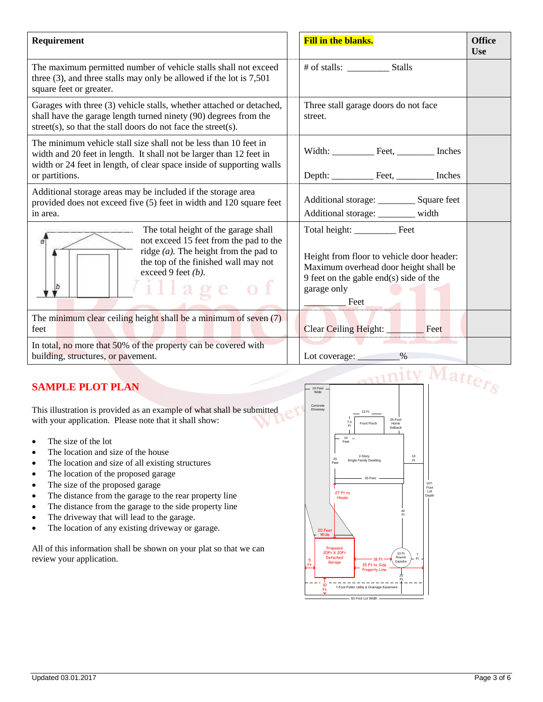| Requirement                                                                                                                                                                                                                        | <b>Fill in the blanks.</b><br><b>Office</b><br><b>Use</b>                                                                                           |
|------------------------------------------------------------------------------------------------------------------------------------------------------------------------------------------------------------------------------------|-----------------------------------------------------------------------------------------------------------------------------------------------------|
| The maximum permitted number of vehicle stalls shall not exceed<br>three $(3)$ , and three stalls may only be allowed if the lot is 7,501<br>square feet or greater.                                                               | # of stalls: Stalls                                                                                                                                 |
| Garages with three (3) vehicle stalls, whether attached or detached,<br>shall have the garage length turned ninety (90) degrees from the<br>street(s), so that the stall doors do not face the street(s).                          | Three stall garage doors do not face<br>street.                                                                                                     |
| The minimum vehicle stall size shall not be less than 10 feet in<br>width and 20 feet in length. It shall not be larger than 12 feet in<br>width or 24 feet in length, of clear space inside of supporting walls<br>or partitions. | Width: Feet, _________ Inches                                                                                                                       |
| Additional storage areas may be included if the storage area<br>provided does not exceed five (5) feet in width and 120 square feet<br>in area.                                                                                    | Additional storage: ___________ Square feet<br>Additional storage: _______ width                                                                    |
| The total height of the garage shall<br>not exceed 15 feet from the pad to the<br>ā<br>ridge $(a)$ . The height from the pad to<br>the top of the finished wall may not<br>exceed 9 feet $(b)$ .<br>$1$ illage of<br>þ             | Height from floor to vehicle door header:<br>Maximum overhead door height shall be<br>9 feet on the gable end(s) side of the<br>garage only<br>Feet |
| The minimum clear ceiling height shall be a minimum of seven (7)<br>feet                                                                                                                                                           | Clear Ceiling Height: _____<br>$\equiv$ Feet                                                                                                        |
| In total, no more that 50% of the property can be covered with<br>building, structures, or pavement.                                                                                                                               | $\%$<br>Lot coverage: $\sqrt{\frac{1}{2} \sum_{i=1}^{n} x_i^2 + x_i^2}$                                                                             |

## **SAMPLE PLOT PLAN**

This illustration is provided as an example of what shall be submitted with your application. Please note that it shall show:

- The size of the lot
- The location and size of the house
- The location and size of all existing structures
- The location of the proposed garage
- The size of the proposed garage
- The distance from the garage to the rear property line
- The distance from the garage to the side property line
- The driveway that will lead to the garage.
- The location of any existing driveway or garage.

All of this information shall be shown on your plat so that we can review your application.

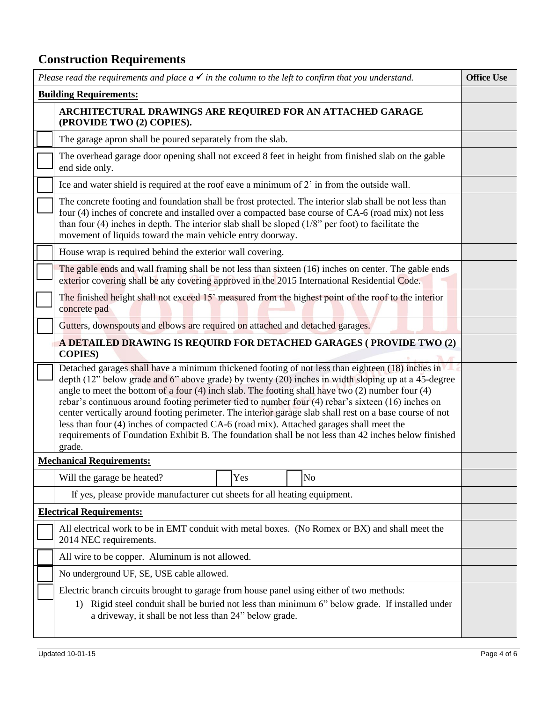## **Construction Requirements**

| Please read the requirements and place $a \checkmark$ in the column to the left to confirm that you understand.                                                                                                                                                                                                                                                                                                                                                                                                                                                                                                                                                                                                                                 | <b>Office Use</b> |  |  |  |  |
|-------------------------------------------------------------------------------------------------------------------------------------------------------------------------------------------------------------------------------------------------------------------------------------------------------------------------------------------------------------------------------------------------------------------------------------------------------------------------------------------------------------------------------------------------------------------------------------------------------------------------------------------------------------------------------------------------------------------------------------------------|-------------------|--|--|--|--|
| <b>Building Requirements:</b>                                                                                                                                                                                                                                                                                                                                                                                                                                                                                                                                                                                                                                                                                                                   |                   |  |  |  |  |
| ARCHITECTURAL DRAWINGS ARE REQUIRED FOR AN ATTACHED GARAGE<br>(PROVIDE TWO (2) COPIES).                                                                                                                                                                                                                                                                                                                                                                                                                                                                                                                                                                                                                                                         |                   |  |  |  |  |
| The garage apron shall be poured separately from the slab.                                                                                                                                                                                                                                                                                                                                                                                                                                                                                                                                                                                                                                                                                      |                   |  |  |  |  |
| The overhead garage door opening shall not exceed 8 feet in height from finished slab on the gable<br>end side only.                                                                                                                                                                                                                                                                                                                                                                                                                                                                                                                                                                                                                            |                   |  |  |  |  |
| Ice and water shield is required at the roof eave a minimum of 2' in from the outside wall.                                                                                                                                                                                                                                                                                                                                                                                                                                                                                                                                                                                                                                                     |                   |  |  |  |  |
| The concrete footing and foundation shall be frost protected. The interior slab shall be not less than<br>four (4) inches of concrete and installed over a compacted base course of CA-6 (road mix) not less<br>than four $(4)$ inches in depth. The interior slab shall be sloped $(1/8)$ per foot) to facilitate the<br>movement of liquids toward the main vehicle entry doorway.                                                                                                                                                                                                                                                                                                                                                            |                   |  |  |  |  |
| House wrap is required behind the exterior wall covering.                                                                                                                                                                                                                                                                                                                                                                                                                                                                                                                                                                                                                                                                                       |                   |  |  |  |  |
| The gable ends and wall framing shall be not less than sixteen $(16)$ inches on center. The gable ends<br>exterior covering shall be any covering approved in the 2015 International Residential Code.                                                                                                                                                                                                                                                                                                                                                                                                                                                                                                                                          |                   |  |  |  |  |
| The finished height shall not exceed 15' measured from the highest point of the roof to the interior<br>concrete pad                                                                                                                                                                                                                                                                                                                                                                                                                                                                                                                                                                                                                            |                   |  |  |  |  |
| Gutters, downspouts and elbows are required on attached and detached garages.                                                                                                                                                                                                                                                                                                                                                                                                                                                                                                                                                                                                                                                                   |                   |  |  |  |  |
| A DETAILED DRAWING IS REQUIRD FOR DETACHED GARAGES (PROVIDE TWO (2)<br><b>COPIES</b> )                                                                                                                                                                                                                                                                                                                                                                                                                                                                                                                                                                                                                                                          |                   |  |  |  |  |
| Detached garages shall have a minimum thickened footing of not less than eighteen (18) inches in<br>depth (12" below grade and 6" above grade) by twenty (20) inches in width sloping up at a 45-degree<br>angle to meet the bottom of a four $(4)$ inch slab. The footing shall have two $(2)$ number four $(4)$<br>rebar's continuous around footing perimeter tied to number four (4) rebar's sixteen (16) inches on<br>center vertically around footing perimeter. The interior garage slab shall rest on a base course of not<br>less than four (4) inches of compacted CA-6 (road mix). Attached garages shall meet the<br>requirements of Foundation Exhibit B. The foundation shall be not less than 42 inches below finished<br>grade. |                   |  |  |  |  |
| <b>Mechanical Requirements:</b>                                                                                                                                                                                                                                                                                                                                                                                                                                                                                                                                                                                                                                                                                                                 |                   |  |  |  |  |
| Yes<br>N <sub>o</sub><br>Will the garage be heated?                                                                                                                                                                                                                                                                                                                                                                                                                                                                                                                                                                                                                                                                                             |                   |  |  |  |  |
| If yes, please provide manufacturer cut sheets for all heating equipment.                                                                                                                                                                                                                                                                                                                                                                                                                                                                                                                                                                                                                                                                       |                   |  |  |  |  |
| <b>Electrical Requirements:</b>                                                                                                                                                                                                                                                                                                                                                                                                                                                                                                                                                                                                                                                                                                                 |                   |  |  |  |  |
| All electrical work to be in EMT conduit with metal boxes. (No Romex or BX) and shall meet the<br>2014 NEC requirements.                                                                                                                                                                                                                                                                                                                                                                                                                                                                                                                                                                                                                        |                   |  |  |  |  |
| All wire to be copper. Aluminum is not allowed.                                                                                                                                                                                                                                                                                                                                                                                                                                                                                                                                                                                                                                                                                                 |                   |  |  |  |  |
| No underground UF, SE, USE cable allowed.                                                                                                                                                                                                                                                                                                                                                                                                                                                                                                                                                                                                                                                                                                       |                   |  |  |  |  |
| Electric branch circuits brought to garage from house panel using either of two methods:<br>Rigid steel conduit shall be buried not less than minimum 6" below grade. If installed under<br>1)<br>a driveway, it shall be not less than 24" below grade.                                                                                                                                                                                                                                                                                                                                                                                                                                                                                        |                   |  |  |  |  |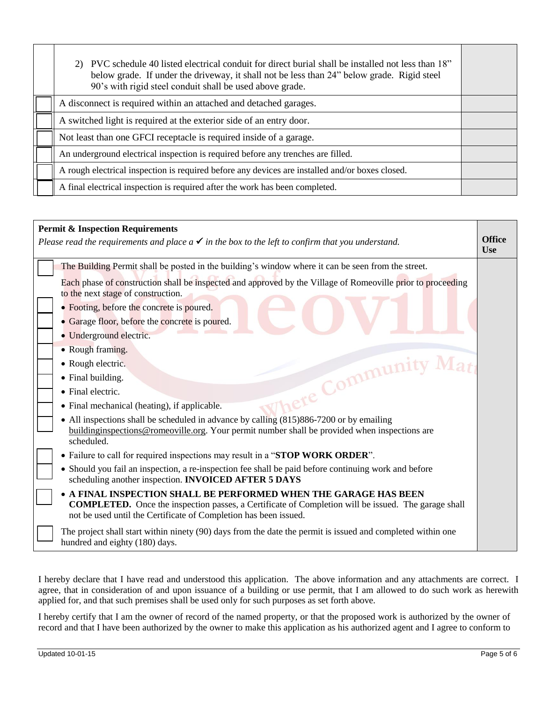| PVC schedule 40 listed electrical conduit for direct burial shall be installed not less than 18"<br>below grade. If under the driveway, it shall not be less than 24" below grade. Rigid steel<br>90's with rigid steel conduit shall be used above grade. |  |
|------------------------------------------------------------------------------------------------------------------------------------------------------------------------------------------------------------------------------------------------------------|--|
| A disconnect is required within an attached and detached garages.                                                                                                                                                                                          |  |
| A switched light is required at the exterior side of an entry door.                                                                                                                                                                                        |  |
| Not least than one GFCI receptacle is required inside of a garage.                                                                                                                                                                                         |  |
| An underground electrical inspection is required before any trenches are filled.                                                                                                                                                                           |  |
| A rough electrical inspection is required before any devices are installed and/or boxes closed.                                                                                                                                                            |  |
| A final electrical inspection is required after the work has been completed.                                                                                                                                                                               |  |

| <b>Permit &amp; Inspection Requirements</b>                                                                                                                                                                                                        |  |  |
|----------------------------------------------------------------------------------------------------------------------------------------------------------------------------------------------------------------------------------------------------|--|--|
| Please read the requirements and place $a \checkmark$ in the box to the left to confirm that you understand.                                                                                                                                       |  |  |
| <b>Use</b>                                                                                                                                                                                                                                         |  |  |
| The Building Permit shall be posted in the building's window where it can be seen from the street.                                                                                                                                                 |  |  |
| Each phase of construction shall be inspected and approved by the Village of Romeoville prior to proceeding<br>to the next stage of construction.                                                                                                  |  |  |
| • Footing, before the concrete is poured.                                                                                                                                                                                                          |  |  |
| • Garage floor, before the concrete is poured.                                                                                                                                                                                                     |  |  |
| • Underground electric.                                                                                                                                                                                                                            |  |  |
| • Rough framing.                                                                                                                                                                                                                                   |  |  |
| here Community Math<br>• Rough electric.                                                                                                                                                                                                           |  |  |
| • Final building.                                                                                                                                                                                                                                  |  |  |
| • Final electric.                                                                                                                                                                                                                                  |  |  |
| • Final mechanical (heating), if applicable.                                                                                                                                                                                                       |  |  |
| • All inspections shall be scheduled in advance by calling (815)886-7200 or by emailing<br>building inspections @ romeoville.org. Your permit number shall be provided when inspections are                                                        |  |  |
| scheduled.                                                                                                                                                                                                                                         |  |  |
| • Failure to call for required inspections may result in a "STOP WORK ORDER".                                                                                                                                                                      |  |  |
| • Should you fail an inspection, a re-inspection fee shall be paid before continuing work and before<br>scheduling another inspection. INVOICED AFTER 5 DAYS                                                                                       |  |  |
| • A FINAL INSPECTION SHALL BE PERFORMED WHEN THE GARAGE HAS BEEN<br><b>COMPLETED.</b> Once the inspection passes, a Certificate of Completion will be issued. The garage shall<br>not be used until the Certificate of Completion has been issued. |  |  |
| The project shall start within ninety (90) days from the date the permit is issued and completed within one<br>hundred and eighty (180) days.                                                                                                      |  |  |

I hereby declare that I have read and understood this application. The above information and any attachments are correct. I agree, that in consideration of and upon issuance of a building or use permit, that I am allowed to do such work as herewith applied for, and that such premises shall be used only for such purposes as set forth above.

I hereby certify that I am the owner of record of the named property, or that the proposed work is authorized by the owner of record and that I have been authorized by the owner to make this application as his authorized agent and I agree to conform to